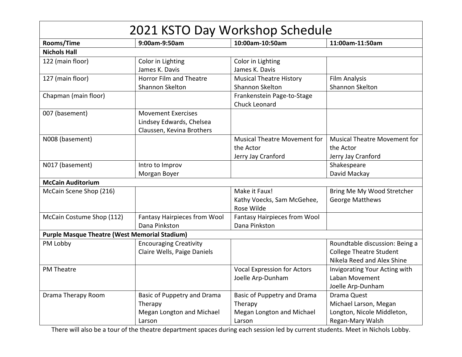| 2021 KSTO Day Workshop Schedule                      |                                     |                                     |                                     |
|------------------------------------------------------|-------------------------------------|-------------------------------------|-------------------------------------|
| Rooms/Time                                           | 9:00am-9:50am                       | 10:00am-10:50am                     | 11:00am-11:50am                     |
| <b>Nichols Hall</b>                                  |                                     |                                     |                                     |
| 122 (main floor)                                     | Color in Lighting                   | Color in Lighting                   |                                     |
|                                                      | James K. Davis                      | James K. Davis                      |                                     |
| 127 (main floor)                                     | Horror Film and Theatre             | <b>Musical Theatre History</b>      | <b>Film Analysis</b>                |
|                                                      | <b>Shannon Skelton</b>              | Shannon Skelton                     | Shannon Skelton                     |
| Chapman (main floor)                                 |                                     | Frankenstein Page-to-Stage          |                                     |
|                                                      |                                     | Chuck Leonard                       |                                     |
| 007 (basement)                                       | <b>Movement Exercises</b>           |                                     |                                     |
|                                                      | Lindsey Edwards, Chelsea            |                                     |                                     |
|                                                      | Claussen, Kevina Brothers           |                                     |                                     |
| N008 (basement)                                      |                                     | <b>Musical Theatre Movement for</b> | <b>Musical Theatre Movement for</b> |
|                                                      |                                     | the Actor                           | the Actor                           |
|                                                      |                                     | Jerry Jay Cranford                  | Jerry Jay Cranford                  |
| N017 (basement)                                      | Intro to Improv                     |                                     | Shakespeare                         |
|                                                      | Morgan Boyer                        |                                     | David Mackay                        |
| <b>McCain Auditorium</b>                             |                                     |                                     |                                     |
| McCain Scene Shop (216)                              |                                     | Make it Faux!                       | Bring Me My Wood Stretcher          |
|                                                      |                                     | Kathy Voecks, Sam McGehee,          | <b>George Matthews</b>              |
|                                                      |                                     | Rose Wilde                          |                                     |
| McCain Costume Shop (112)                            | <b>Fantasy Hairpieces from Wool</b> | Fantasy Hairpieces from Wool        |                                     |
|                                                      | Dana Pinkston                       | Dana Pinkston                       |                                     |
| <b>Purple Masque Theatre (West Memorial Stadium)</b> |                                     |                                     |                                     |
| PM Lobby                                             | <b>Encouraging Creativity</b>       |                                     | Roundtable discussion: Being a      |
|                                                      | Claire Wells, Paige Daniels         |                                     | <b>College Theatre Student</b>      |
|                                                      |                                     |                                     | Nikela Reed and Alex Shine          |
| <b>PM Theatre</b>                                    |                                     | <b>Vocal Expression for Actors</b>  | Invigorating Your Acting with       |
|                                                      |                                     | Joelle Arp-Dunham                   | Laban Movement                      |
|                                                      |                                     |                                     | Joelle Arp-Dunham                   |
| Drama Therapy Room                                   | Basic of Puppetry and Drama         | Basic of Puppetry and Drama         | Drama Quest                         |
|                                                      | Therapy                             | Therapy                             | Michael Larson, Megan               |
|                                                      | Megan Longton and Michael           | Megan Longton and Michael           | Longton, Nicole Middleton,          |
|                                                      | Larson                              | Larson                              | Regan-Mary Walsh                    |

There will also be a tour of the theatre department spaces during each session led by current students. Meet in Nichols Lobby.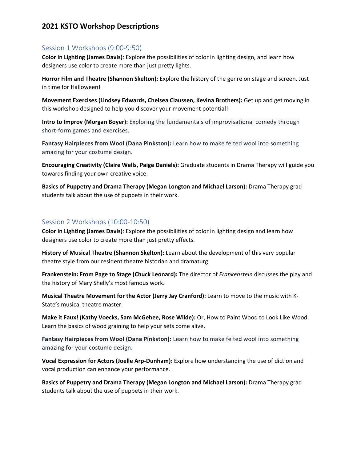## **2021 KSTO Workshop Descriptions**

#### Session 1 Workshops (9:00-9:50)

**Color in Lighting (James Davis)**: Explore the possibilities of color in lighting design, and learn how designers use color to create more than just pretty lights.

**Horror Film and Theatre (Shannon Skelton):** Explore the history of the genre on stage and screen. Just in time for Halloween!

**Movement Exercises (Lindsey Edwards, Chelsea Claussen, Kevina Brothers):** Get up and get moving in this workshop designed to help you discover your movement potential!

**Intro to Improv (Morgan Boyer):** Exploring the fundamentals of improvisational comedy through short-form games and exercises.

**Fantasy Hairpieces from Wool (Dana Pinkston):** Learn how to make felted wool into something amazing for your costume design.

**Encouraging Creativity (Claire Wells, Paige Daniels):** Graduate students in Drama Therapy will guide you towards finding your own creative voice.

**Basics of Puppetry and Drama Therapy (Megan Longton and Michael Larson):** Drama Therapy grad students talk about the use of puppets in their work.

### Session 2 Workshops (10:00-10:50)

**Color in Lighting (James Davis)**: Explore the possibilities of color in lighting design and learn how designers use color to create more than just pretty effects.

**History of Musical Theatre (Shannon Skelton):** Learn about the development of this very popular theatre style from our resident theatre historian and dramaturg.

**Frankenstein: From Page to Stage (Chuck Leonard):** The director of *Frankenstein* discusses the play and the history of Mary Shelly's most famous work.

**Musical Theatre Movement for the Actor (Jerry Jay Cranford):** Learn to move to the music with K-State's musical theatre master.

**Make it Faux! (Kathy Voecks, Sam McGehee, Rose Wilde):** Or, How to Paint Wood to Look Like Wood. Learn the basics of wood graining to help your sets come alive.

**Fantasy Hairpieces from Wool (Dana Pinkston):** Learn how to make felted wool into something amazing for your costume design.

**Vocal Expression for Actors (Joelle Arp-Dunham):** Explore how understanding the use of diction and vocal production can enhance your performance.

**Basics of Puppetry and Drama Therapy (Megan Longton and Michael Larson):** Drama Therapy grad students talk about the use of puppets in their work.